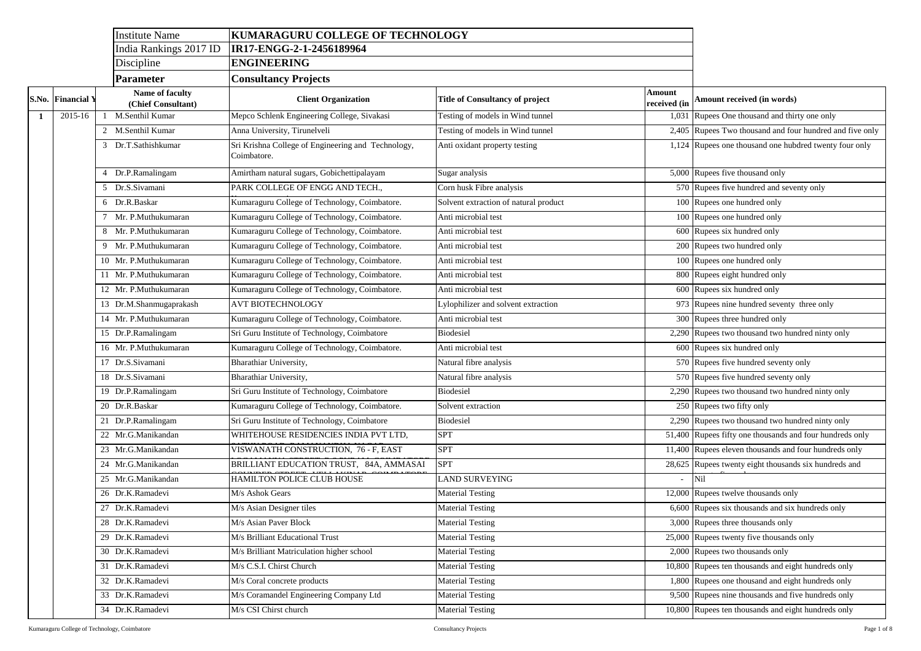## **Amount received (in words)**

Rupees One thousand and thirty one only

Rupees Two thousand and four hundred and five only

Rupees one thousand one hubdred twenty four only

Rupees five thousand only

Rupees five hundred and seventy only

Rupees one hundred only

Rupees one hundred only

Rupees six hundred only

Rupees two hundred only

Rupees one hundred only

Rupees eight hundred only

Rupees six hundred only

Rupees nine hundred seventy three only

Rupees three hundred only

Rupees two thousand two hundred ninty only

Rupees six hundred only

Rupees five hundred seventy only

Rupees five hundred seventy only

Rupees two thousand two hundred ninty only

Rupees two fifty only

Rupees two thousand two hundred ninty only

Rupees fifty one thousands and four hundreds only

Rupees eleven thousands and four hundreds only

Rupees twenty eight thousands six hundreds and Nil

Rupees twelve thousands only

Rupees six thousands and six hundreds only

Rupees three thousands only

Rupees twenty five thousands only

Rupees two thousands only

Rupees ten thousands and eight hundreds only

Rupees one thousand and eight hundreds only

Rupees nine thousands and five hundreds only

Rupees ten thousands and eight hundreds only

|  |                          | <b>Institute Name</b>                 | KUMARAGURU COLLEGE OF TECHNOLOGY                                  |                                        |                               |                                   |
|--|--------------------------|---------------------------------------|-------------------------------------------------------------------|----------------------------------------|-------------------------------|-----------------------------------|
|  |                          | India Rankings 2017 ID                | IR17-ENGG-2-1-2456189964                                          |                                        |                               |                                   |
|  |                          | Discipline                            | <b>ENGINEERING</b>                                                |                                        |                               |                                   |
|  |                          | <b>Parameter</b>                      | <b>Consultancy Projects</b>                                       |                                        |                               |                                   |
|  | <b>S.No.</b> Financial Y | Name of faculty<br>(Chief Consultant) | <b>Client Organization</b>                                        | <b>Title of Consultancy of project</b> | <b>Amount</b><br>received (in | Amount receiv                     |
|  | 2015-16                  | M.Senthil Kumar                       | Mepco Schlenk Engineering College, Sivakasi                       | Testing of models in Wind tunnel       |                               | 1,031 Rupees One the              |
|  |                          | 2 M.Senthil Kumar                     | Anna University, Tirunelveli                                      | Testing of models in Wind tunnel       |                               | 2,405 Rupees Two th               |
|  |                          | 3 Dr.T.Sathishkumar                   | Sri Krishna College of Engineering and Technology,<br>Coimbatore. | Anti oxidant property testing          |                               | $\overline{1,124}$ Rupees one tho |
|  |                          | Dr.P.Ramalingam                       | Amirtham natural sugars, Gobichettipalayam                        | Sugar analysis                         |                               | 5,000 Rupees five the             |
|  |                          | 5 Dr.S.Sivamani                       | PARK COLLEGE OF ENGG AND TECH.,                                   | Corn husk Fibre analysis               |                               | 570 Rupees five hu                |
|  |                          | 6 Dr.R.Baskar                         | Kumaraguru College of Technology, Coimbatore.                     | Solvent extraction of natural product  |                               | 100 Rupees one hu                 |
|  |                          | Mr. P.Muthukumaran                    | Kumaraguru College of Technology, Coimbatore.                     | Anti microbial test                    |                               | 100 Rupees one hui                |
|  |                          | 8 Mr. P.Muthukumaran                  | Kumaraguru College of Technology, Coimbatore.                     | Anti microbial test                    |                               | 600 Rupees six hun                |
|  |                          | Mr. P.Muthukumaran                    | Kumaraguru College of Technology, Coimbatore.                     | Anti microbial test                    |                               | 200 Rupees two hu                 |
|  |                          | 10 Mr. P.Muthukumaran                 | Kumaraguru College of Technology, Coimbatore.                     | Anti microbial test                    |                               | 100 Rupees one hu                 |
|  |                          | 11 Mr. P.Muthukumaran                 | Kumaraguru College of Technology, Coimbatore.                     | Anti microbial test                    |                               | 800 Rupees eight h                |
|  |                          | 12 Mr. P.Muthukumaran                 | Kumaraguru College of Technology, Coimbatore.                     | Anti microbial test                    |                               | 600 Rupees six hur                |
|  |                          | 13 Dr.M.Shanmugaprakash               | <b>AVT BIOTECHNOLOGY</b>                                          | Lylophilizer and solvent extraction    |                               | 973 Rupees nine hu                |
|  |                          | 14 Mr. P.Muthukumaran                 | Kumaraguru College of Technology, Coimbatore.                     | Anti microbial test                    |                               | 300 Rupees three h                |
|  |                          | 15 Dr.P.Ramalingam                    | Sri Guru Institute of Technology, Coimbatore                      | <b>Biodesiel</b>                       |                               | 2,290 Rupees two tho              |
|  |                          | 16 Mr. P.Muthukumaran                 | Kumaraguru College of Technology, Coimbatore.                     | Anti microbial test                    |                               | 600 Rupees six hur                |
|  |                          | 17 Dr.S.Sivamani                      | Bharathiar University,                                            | Natural fibre analysis                 |                               | 570 Rupees five hu                |
|  |                          | 18 Dr.S.Sivamani                      | Bharathiar University,                                            | Natural fibre analysis                 |                               | 570 Rupees five hu                |
|  |                          | 19 Dr.P.Ramalingam                    | Sri Guru Institute of Technology, Coimbatore                      | <b>Biodesiel</b>                       |                               | 2,290 Rupees two the              |
|  |                          | 20 Dr.R.Baskar                        | Kumaraguru College of Technology, Coimbatore.                     | Solvent extraction                     |                               | 250 Rupees two fif                |
|  |                          | 21 Dr.P.Ramalingam                    | Sri Guru Institute of Technology, Coimbatore                      | <b>Biodesiel</b>                       |                               | 2,290 Rupees two the              |
|  |                          | 22 Mr.G.Manikandan                    | WHITEHOUSE RESIDENCIES INDIA PVT LTD,                             | <b>SPT</b>                             |                               | 51,400 Rupees fifty or            |
|  |                          | 23 Mr.G.Manikandan                    | VISWANATH CONSTRUCTION, 76 - F, EAST                              | <b>SPT</b>                             |                               | 11,400 Rupees eleven              |
|  |                          | 24 Mr.G.Manikandan                    | BRILLIANT EDUCATION TRUST, 84A, AMMASAI                           | <b>SPT</b>                             |                               | 28,625 Rupees twenty              |
|  |                          | 25 Mr.G.Manikandan                    | HAMILTON POLICE CLUB HOUSE                                        | <b>LAND SURVEYING</b>                  |                               | $-$ Nil                           |
|  |                          | 26 Dr.K.Ramadevi                      | M/s Ashok Gears                                                   | <b>Material Testing</b>                |                               | 12,000 Rupees twelve              |
|  |                          | 27 Dr.K.Ramadevi                      | M/s Asian Designer tiles                                          | <b>Material Testing</b>                |                               | $6,600$ Rupees six tho            |
|  |                          | 28 Dr.K.Ramadevi                      | M/s Asian Paver Block                                             | <b>Material Testing</b>                |                               | $3,000$ Rupees three the          |
|  |                          | 29 Dr.K.Ramadevi                      | M/s Brilliant Educational Trust                                   | <b>Material Testing</b>                |                               | 25,000 Rupees twenty              |
|  |                          | 30 Dr.K.Ramadevi                      | M/s Brilliant Matriculation higher school                         | <b>Material Testing</b>                |                               | $2,000$ Rupees two the            |
|  |                          | 31 Dr.K.Ramadevi                      | M/s C.S.I. Chirst Church                                          | <b>Material Testing</b>                |                               | 10,800 Rupees ten tho             |
|  |                          | 32 Dr.K.Ramadevi                      | M/s Coral concrete products                                       | <b>Material Testing</b>                |                               | 1,800 Rupees one tho              |
|  |                          | 33 Dr.K.Ramadevi                      | M/s Coramandel Engineering Company Ltd                            | <b>Material Testing</b>                |                               | 9,500 Rupees nine th              |
|  |                          | 34 Dr.K.Ramadevi                      | M/s CSI Chirst church                                             | <b>Material Testing</b>                |                               | 10,800 Rupees ten tho             |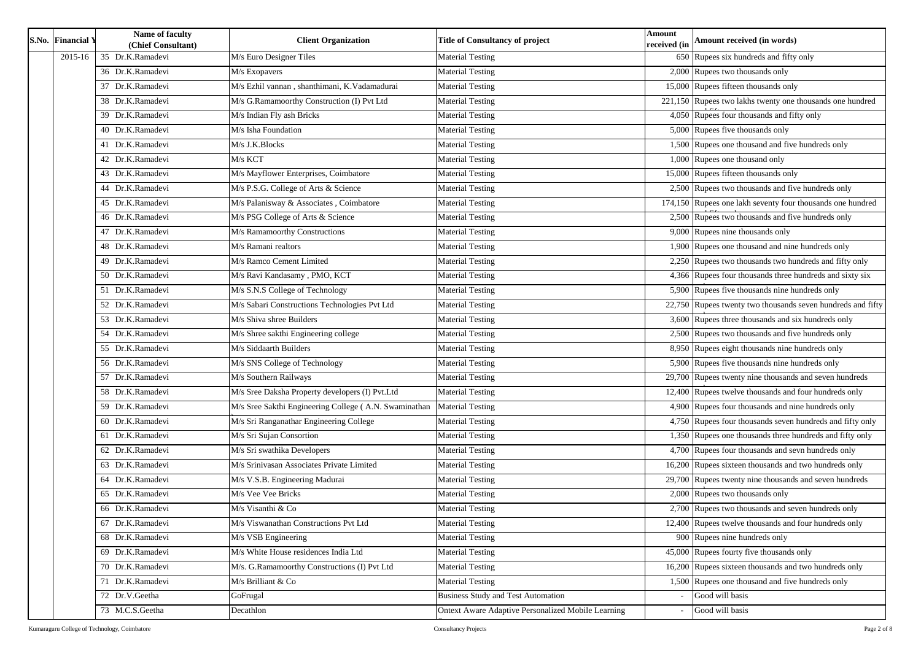|  | S.No. Financial Y | Name of faculty<br>(Chief Consultant) | <b>Client Organization</b>                            | <b>Title of Consultancy of project</b>                    | <b>Amount</b><br>received (in | Amount received (in words)                                  |  |
|--|-------------------|---------------------------------------|-------------------------------------------------------|-----------------------------------------------------------|-------------------------------|-------------------------------------------------------------|--|
|  | 2015-16           | 35 Dr.K.Ramadevi                      | M/s Euro Designer Tiles                               | <b>Material Testing</b>                                   |                               | 650 Rupees six hundreds and fifty only                      |  |
|  |                   | 36 Dr.K.Ramadevi                      | M/s Exopavers                                         | <b>Material Testing</b>                                   |                               | 2,000 Rupees two thousands only                             |  |
|  |                   | 37 Dr.K.Ramadevi                      | M/s Ezhil vannan, shanthimani, K.Vadamadurai          | <b>Material Testing</b>                                   |                               | 15,000 Rupees fifteen thousands only                        |  |
|  |                   | 38 Dr.K.Ramadevi                      | M/s G.Ramamoorthy Construction (I) Pvt Ltd            | <b>Material Testing</b>                                   |                               | 221,150 Rupees two lakhs twenty one thousands one hundred   |  |
|  |                   | 39 Dr.K.Ramadevi                      | M/s Indian Fly ash Bricks                             | <b>Material Testing</b>                                   |                               | 4,050 Rupees four thousands and fifty only                  |  |
|  |                   | 40 Dr.K.Ramadevi                      | M/s Isha Foundation                                   | <b>Material Testing</b>                                   |                               | $5,000$ Rupees five thousands only                          |  |
|  |                   | 41 Dr.K.Ramadevi                      | M/s J.K.Blocks                                        | <b>Material Testing</b>                                   |                               | 1,500 Rupees one thousand and five hundreds only            |  |
|  |                   | 42 Dr.K.Ramadevi                      | M/s KCT                                               | <b>Material Testing</b>                                   |                               | $1,000$ Rupees one thousand only                            |  |
|  |                   | 43 Dr.K.Ramadevi                      | M/s Mayflower Enterprises, Coimbatore                 | <b>Material Testing</b>                                   |                               | 15,000 Rupees fifteen thousands only                        |  |
|  |                   | 44 Dr.K.Ramadevi                      | M/s P.S.G. College of Arts & Science                  | <b>Material Testing</b>                                   |                               | 2,500 Rupees two thousands and five hundreds only           |  |
|  |                   | 45 Dr.K.Ramadevi                      | M/s Palanisway & Associates, Coimbatore               | <b>Material Testing</b>                                   |                               | 174,150 Rupees one lakh seventy four thousands one hundred  |  |
|  |                   | 46 Dr.K.Ramadevi                      | M/s PSG College of Arts & Science                     | <b>Material Testing</b>                                   |                               | 2,500 Rupees two thousands and five hundreds only           |  |
|  |                   | 47 Dr.K.Ramadevi                      | M/s Ramamoorthy Constructions                         | <b>Material Testing</b>                                   |                               | 9,000 Rupees nine thousands only                            |  |
|  |                   | 48 Dr.K.Ramadevi                      | M/s Ramani realtors                                   | <b>Material Testing</b>                                   |                               | 1,900 Rupees one thousand and nine hundreds only            |  |
|  |                   | 49 Dr.K.Ramadevi                      | M/s Ramco Cement Limited                              | <b>Material Testing</b>                                   |                               | 2,250 Rupees two thousands two hundreds and fifty only      |  |
|  |                   | 50 Dr.K.Ramadevi                      | M/s Ravi Kandasamy, PMO, KCT                          | <b>Material Testing</b>                                   |                               | 4,366 Rupees four thousands three hundreds and sixty six    |  |
|  |                   | 51 Dr.K.Ramadevi                      | M/s S.N.S College of Technology                       | <b>Material Testing</b>                                   |                               | 5,900 Rupees five thousands nine hundreds only              |  |
|  |                   | 52 Dr.K.Ramadevi                      | M/s Sabari Constructions Technologies Pvt Ltd         | <b>Material Testing</b>                                   |                               | 22,750 Rupees twenty two thousands seven hundreds and fifty |  |
|  |                   | 53 Dr.K.Ramadevi                      | M/s Shiva shree Builders                              | <b>Material Testing</b>                                   |                               | 3,600 Rupees three thousands and six hundreds only          |  |
|  |                   | 54 Dr.K.Ramadevi                      | M/s Shree sakthi Engineering college                  | <b>Material Testing</b>                                   |                               | $2,500$ Rupees two thousands and five hundreds only         |  |
|  |                   | 55 Dr.K.Ramadevi                      | M/s Siddaarth Builders                                | Material Testing                                          |                               | 8,950 Rupees eight thousands nine hundreds only             |  |
|  |                   | 56 Dr.K.Ramadevi                      | M/s SNS College of Technology                         | <b>Material Testing</b>                                   |                               | 5,900 Rupees five thousands nine hundreds only              |  |
|  |                   | 57 Dr.K.Ramadevi                      | M/s Southern Railways                                 | <b>Material Testing</b>                                   |                               | 29,700 Rupees twenty nine thousands and seven hundreds      |  |
|  |                   | 58 Dr.K.Ramadevi                      | M/s Sree Daksha Property developers (I) Pvt.Ltd       | Material Testing                                          |                               | 12,400 Rupees twelve thousands and four hundreds only       |  |
|  |                   | 59 Dr.K.Ramadevi                      | M/s Sree Sakthi Engineering College (A.N. Swaminathan | <b>Material Testing</b>                                   |                               | 4,900 Rupees four thousands and nine hundreds only          |  |
|  |                   | 60 Dr.K.Ramadevi                      | M/s Sri Ranganathar Engineering College               | <b>Material Testing</b>                                   |                               | 4,750 Rupees four thousands seven hundreds and fifty only   |  |
|  |                   | 61 Dr.K.Ramadevi                      | M/s Sri Sujan Consortion                              | <b>Material Testing</b>                                   |                               | 1,350 Rupees one thousands three hundreds and fifty only    |  |
|  |                   | 62 Dr.K.Ramadevi                      | M/s Sri swathika Developers                           | Material Testing                                          |                               | 4,700 Rupees four thousands and sevn hundreds only          |  |
|  |                   | 63 Dr.K.Ramadevi                      | M/s Srinivasan Associates Private Limited             | <b>Material Testing</b>                                   |                               | 16,200 Rupees sixteen thousands and two hundreds only       |  |
|  |                   | 64 Dr.K.Ramadevi                      | M/s V.S.B. Engineering Madurai                        | <b>Material Testing</b>                                   |                               | 29,700 Rupees twenty nine thousands and seven hundreds      |  |
|  |                   | 65 Dr.K.Ramadevi                      | M/s Vee Vee Bricks                                    | <b>Material Testing</b>                                   |                               | 2,000 Rupees two thousands only                             |  |
|  |                   | 66 Dr.K.Ramadevi                      | M/s Visanthi & Co                                     | <b>Material Testing</b>                                   |                               | 2,700 Rupees two thousands and seven hundreds only          |  |
|  |                   | 67 Dr.K.Ramadevi                      | M/s Viswanathan Constructions Pvt Ltd                 | <b>Material Testing</b>                                   |                               | 12,400 Rupees twelve thousands and four hundreds only       |  |
|  |                   | 68 Dr.K.Ramadevi                      | M/s VSB Engineering                                   | <b>Material Testing</b>                                   |                               | 900 Rupees nine hundreds only                               |  |
|  |                   | 69 Dr.K.Ramadevi                      | M/s White House residences India Ltd                  | Material Testing                                          |                               | $\overline{45,000}$ Rupees fourty five thousands only       |  |
|  |                   | 70 Dr.K.Ramadevi                      | M/s. G.Ramamoorthy Constructions (I) Pvt Ltd          | <b>Material Testing</b>                                   |                               | 16,200 Rupees sixteen thousands and two hundreds only       |  |
|  |                   | 71 Dr.K.Ramadevi                      | M/s Brilliant & Co                                    | <b>Material Testing</b>                                   |                               | 1,500 Rupees one thousand and five hundreds only            |  |
|  |                   | 72 Dr.V.Geetha                        | GoFrugal                                              | <b>Business Study and Test Automation</b>                 |                               | Good will basis                                             |  |
|  |                   | 73 M.C.S.Geetha                       | Decathlon                                             | <b>Ontext Aware Adaptive Personalized Mobile Learning</b> |                               | Good will basis                                             |  |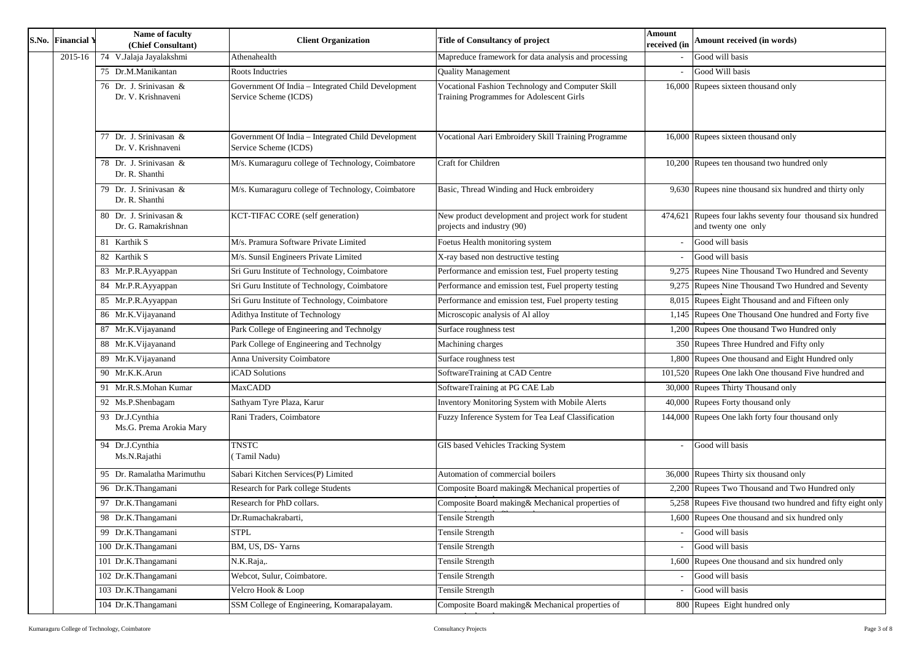## **Amount received (in words)**

Rupees four lakhs seventy four thousand six hundred and twenty one only

Rupees Five thousand two hundred and fifty eight only

| S.No. Financial Y | Name of faculty<br>(Chief Consultant)         | <b>Client Organization</b>                                                  | <b>Title of Consultancy of project</b>                                                       | <b>Amount</b><br>received (in | Amount received (in words)                                                       |
|-------------------|-----------------------------------------------|-----------------------------------------------------------------------------|----------------------------------------------------------------------------------------------|-------------------------------|----------------------------------------------------------------------------------|
| 2015-16           | 74 V.Jalaja Jayalakshmi                       | Athenahealth                                                                | Mapreduce framework for data analysis and processing                                         |                               | Good will basis                                                                  |
|                   | 75 Dr.M.Manikantan                            | Roots Inductries                                                            | <b>Quality Management</b>                                                                    |                               | Good Will basis                                                                  |
|                   | 76 Dr. J. Srinivasan &<br>Dr. V. Krishnaveni  | Government Of India - Integrated Child Development<br>Service Scheme (ICDS) | Vocational Fashion Technology and Computer Skill<br>Training Programmes for Adolescent Girls |                               | 16,000 Rupees sixteen thousand only                                              |
|                   | 77 Dr. J. Srinivasan &<br>Dr. V. Krishnaveni  | Government Of India - Integrated Child Development<br>Service Scheme (ICDS) | Vocational Aari Embroidery Skill Training Programme                                          |                               | 16,000 Rupees sixteen thousand only                                              |
|                   | 78 Dr. J. Srinivasan &<br>Dr. R. Shanthi      | M/s. Kumaraguru college of Technology, Coimbatore                           | Craft for Children                                                                           |                               | 10,200 Rupees ten thousand two hundred only                                      |
|                   | 79 Dr. J. Srinivasan &<br>Dr. R. Shanthi      | M/s. Kumaraguru college of Technology, Coimbatore                           | Basic, Thread Winding and Huck embroidery                                                    |                               | 9,630 Rupees nine thousand six hundred and thirty only                           |
|                   | 80 Dr. J. Srinivasan &<br>Dr. G. Ramakrishnan | KCT-TIFAC CORE (self generation)                                            | New product development and project work for student<br>projects and industry (90)           |                               | 474,621 Rupees four lakhs seventy four thousand six hundr<br>and twenty one only |
|                   | 81 Karthik S                                  | M/s. Pramura Software Private Limited                                       | Foetus Health monitoring system                                                              |                               | Good will basis                                                                  |
|                   | 82 Karthik S                                  | M/s. Sunsil Engineers Private Limited                                       | X-ray based non destructive testing                                                          |                               | Good will basis                                                                  |
|                   | 83 Mr.P.R.Ayyappan                            | Sri Guru Institute of Technology, Coimbatore                                | Performance and emission test, Fuel property testing                                         |                               | 9,275 Rupees Nine Thousand Two Hundred and Seventy                               |
|                   | 84 Mr.P.R.Ayyappan                            | Sri Guru Institute of Technology, Coimbatore                                | Performance and emission test, Fuel property testing                                         |                               | 9,275 Rupees Nine Thousand Two Hundred and Seventy                               |
|                   | 85 Mr.P.R.Ayyappan                            | Sri Guru Institute of Technology, Coimbatore                                | Performance and emission test, Fuel property testing                                         |                               | 8,015 Rupees Eight Thousand and and Fifteen only                                 |
|                   | 86 Mr.K.Vijayanand                            | Adithya Institute of Technology                                             | Microscopic analysis of Al alloy                                                             |                               | 1,145 Rupees One Thousand One hundred and Forty five                             |
|                   | 87 Mr.K.Vijayanand                            | Park College of Engineering and Technolgy                                   | Surface roughness test                                                                       |                               | 1,200 Rupees One thousand Two Hundred only                                       |
|                   | 88 Mr.K.Vijayanand                            | Park College of Engineering and Technolgy                                   | Machining charges                                                                            |                               | 350 Rupees Three Hundred and Fifty only                                          |
|                   | 89 Mr.K.Vijayanand                            | Anna University Coimbatore                                                  | Surface roughness test                                                                       |                               | 1,800 Rupees One thousand and Eight Hundred only                                 |
|                   | 90 Mr.K.K.Arun                                | iCAD Solutions                                                              | SoftwareTraining at CAD Centre                                                               |                               | 101,520 Rupees One lakh One thousand Five hundred and                            |
|                   | 91 Mr.R.S.Mohan Kumar                         | <b>MaxCADD</b>                                                              | SoftwareTraining at PG CAE Lab                                                               |                               | 30,000 Rupees Thirty Thousand only                                               |
|                   | 92 Ms.P.Shenbagam                             | Sathyam Tyre Plaza, Karur                                                   | <b>Inventory Monitoring System with Mobile Alerts</b>                                        |                               | 40,000 Rupees Forty thousand only                                                |
|                   | 93 Dr.J.Cynthia<br>Ms.G. Prema Arokia Mary    | Rani Traders, Coimbatore                                                    | Fuzzy Inference System for Tea Leaf Classification                                           |                               | 144,000 Rupees One lakh forty four thousand only                                 |
|                   | 94 Dr.J.Cynthia<br>Ms.N.Rajathi               | <b>TNSTC</b><br>Tamil Nadu)                                                 | GIS based Vehicles Tracking System                                                           |                               | Good will basis                                                                  |
|                   | 95 Dr. Ramalatha Marimuthu                    | Sabari Kitchen Services(P) Limited                                          | Automation of commercial boilers                                                             |                               | 36,000 Rupees Thirty six thousand only                                           |
|                   | 96 Dr.K.Thangamani                            | Research for Park college Students                                          | Composite Board making& Mechanical properties of                                             |                               | 2,200 Rupees Two Thousand and Two Hundred only                                   |
|                   | 97 Dr.K.Thangamani                            | Research for PhD collars.                                                   | Composite Board making & Mechanical properties of                                            |                               | 5,258 Rupees Five thousand two hundred and fifty eight of                        |
|                   | 98 Dr.K.Thangamani                            | Dr.Rumachakrabarti,                                                         | Tensile Strength                                                                             |                               | 1,600 Rupees One thousand and six hundred only                                   |
|                   | 99 Dr.K.Thangamani                            | <b>STPL</b>                                                                 | <b>Tensile Strength</b>                                                                      |                               | Good will basis                                                                  |
|                   | 100 Dr.K.Thangamani                           | BM, US, DS-Yarns                                                            | <b>Tensile Strength</b>                                                                      |                               | Good will basis                                                                  |
|                   | 101 Dr.K.Thangamani                           | N.K.Raja,.                                                                  | Tensile Strength                                                                             |                               | 1,600 Rupees One thousand and six hundred only                                   |
|                   | 102 Dr.K.Thangamani                           | Webcot, Sulur, Coimbatore.                                                  | <b>Tensile Strength</b>                                                                      |                               | Good will basis                                                                  |
|                   | 103 Dr.K.Thangamani                           | Velcro Hook & Loop                                                          | <b>Tensile Strength</b>                                                                      |                               | Good will basis                                                                  |
|                   | 104 Dr.K.Thangamani                           | SSM College of Engineering, Komarapalayam.                                  | Composite Board making & Mechanical properties of                                            |                               | 800 Rupees Eight hundred only                                                    |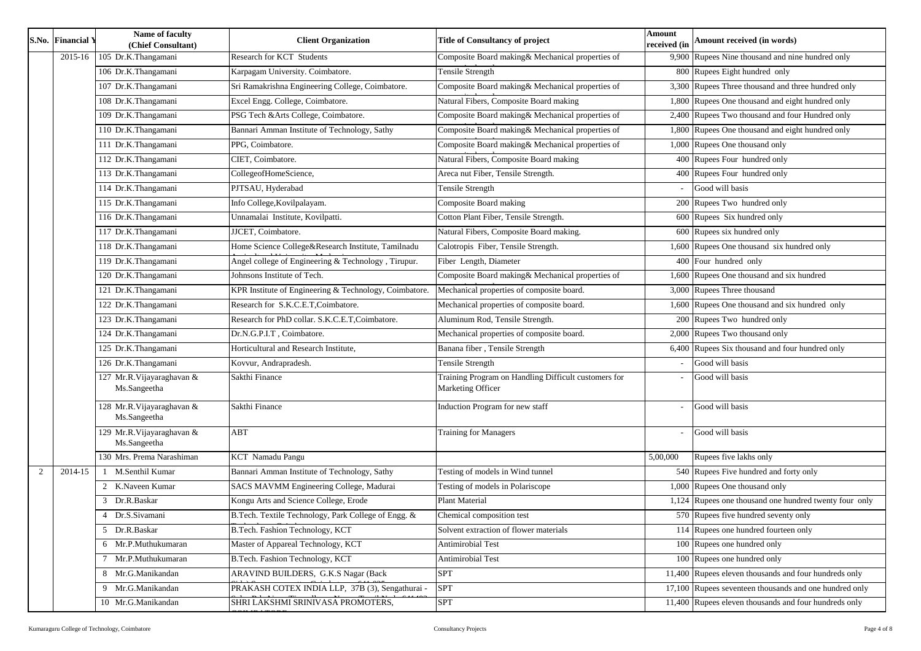|   | <b>S.No. Financial Y</b> | Name of faculty<br><b>Title of Consultancy of project</b><br><b>Client Organization</b><br>(Chief Consultant) |                                                        |                                                                           | <b>Amount</b><br>received (in | Amount received (in words)                             |
|---|--------------------------|---------------------------------------------------------------------------------------------------------------|--------------------------------------------------------|---------------------------------------------------------------------------|-------------------------------|--------------------------------------------------------|
|   | 2015-16                  | 105 Dr.K.Thangamani                                                                                           | Research for KCT Students                              | Composite Board making& Mechanical properties of                          |                               | 9,900 Rupees Nine thousand and nine hundred only       |
|   |                          | 106 Dr.K.Thangamani                                                                                           | Karpagam University. Coimbatore.                       | Tensile Strength                                                          |                               | 800 Rupees Eight hundred only                          |
|   |                          | 107 Dr.K.Thangamani                                                                                           | Sri Ramakrishna Engineering College, Coimbatore.       | Composite Board making& Mechanical properties of                          |                               | 3,300 Rupees Three thousand and three hundred only     |
|   |                          | 108 Dr.K.Thangamani                                                                                           | Excel Engg. College, Coimbatore.                       | Natural Fibers, Composite Board making                                    |                               | 1,800 Rupees One thousand and eight hundred only       |
|   |                          | 109 Dr.K.Thangamani                                                                                           | PSG Tech & Arts College, Coimbatore.                   | Composite Board making& Mechanical properties of                          |                               | 2,400 Rupees Two thousand and four Hundred only        |
|   |                          | 110 Dr.K.Thangamani                                                                                           | Bannari Amman Institute of Technology, Sathy           | Composite Board making& Mechanical properties of                          |                               | 1,800 Rupees One thousand and eight hundred only       |
|   |                          | 111 Dr.K.Thangamani                                                                                           | PPG, Coimbatore.                                       | Composite Board making & Mechanical properties of                         |                               | 1,000 Rupees One thousand only                         |
|   |                          | 112 Dr.K.Thangamani                                                                                           | CIET, Coimbatore.                                      | Natural Fibers, Composite Board making                                    |                               | 400 Rupees Four hundred only                           |
|   |                          | 113 Dr.K.Thangamani                                                                                           | CollegeofHomeScience,                                  | Areca nut Fiber, Tensile Strength.                                        |                               | 400 Rupees Four hundred only                           |
|   |                          | 114 Dr.K.Thangamani                                                                                           | PJTSAU, Hyderabad                                      | Tensile Strength                                                          |                               | Good will basis                                        |
|   |                          | 115 Dr.K.Thangamani                                                                                           | Info College, Kovilpalayam.                            | Composite Board making                                                    |                               | 200 Rupees Two hundred only                            |
|   |                          | 116 Dr.K.Thangamani                                                                                           | Unnamalai Institute, Kovilpatti.                       | Cotton Plant Fiber, Tensile Strength.                                     |                               | 600 Rupees Six hundred only                            |
|   |                          | 117 Dr.K.Thangamani                                                                                           | JJCET, Coimbatore.                                     | Natural Fibers, Composite Board making.                                   |                               | 600 Rupees six hundred only                            |
|   |                          | 118 Dr.K.Thangamani                                                                                           | Home Science College&Research Institute, Tamilnadu     | Calotropis Fiber, Tensile Strength.                                       |                               | 1,600 Rupees One thousand six hundred only             |
|   |                          | 119 Dr.K.Thangamani                                                                                           | Angel college of Engineering & Technology, Tirupur.    | Fiber Length, Diameter                                                    |                               | 400 Four hundred only                                  |
|   |                          | 120 Dr.K.Thangamani                                                                                           | Johnsons Institute of Tech.                            | Composite Board making& Mechanical properties of                          |                               | 1,600 Rupees One thousand and six hundred              |
|   |                          | $\overline{121}$ Dr.K.Thangamani                                                                              | KPR Institute of Engineering & Technology, Coimbatore. | Mechanical properties of composite board.                                 |                               | 3,000 Rupees Three thousand                            |
|   |                          | 122 Dr.K.Thangamani                                                                                           | Research for S.K.C.E.T, Coimbatore.                    | Mechanical properties of composite board.                                 |                               | 1,600 Rupees One thousand and six hundred only         |
|   |                          | 123 Dr.K.Thangamani                                                                                           | Research for PhD collar. S.K.C.E.T, Coimbatore.        | Aluminum Rod, Tensile Strength.                                           |                               | 200 Rupees Two hundred only                            |
|   |                          | 124 Dr.K.Thangamani                                                                                           | Dr.N.G.P.I.T, Coimbatore.                              | Mechanical properties of composite board.                                 |                               | 2,000 Rupees Two thousand only                         |
|   |                          | 125 Dr.K.Thangamani                                                                                           | Horticultural and Research Institute,                  | Banana fiber, Tensile Strength                                            |                               | 6,400 Rupees Six thousand and four hundred only        |
|   |                          | 126 Dr.K.Thangamani                                                                                           | Kovvur, Andrapradesh.                                  | Tensile Strength                                                          |                               | Good will basis                                        |
|   |                          | 127 Mr.R.Vijayaraghavan &<br>Ms.Sangeetha                                                                     | Sakthi Finance                                         | Training Program on Handling Difficult customers for<br>Marketing Officer |                               | Good will basis                                        |
|   |                          | 128 Mr.R.Vijayaraghavan &<br>Ms.Sangeetha                                                                     | Sakthi Finance                                         | <b>Induction Program for new staff</b>                                    |                               | Good will basis                                        |
|   |                          | 129 Mr.R.Vijayaraghavan &<br>Ms.Sangeetha                                                                     | <b>ABT</b>                                             | <b>Training for Managers</b>                                              |                               | Good will basis                                        |
|   |                          | 130 Mrs. Prema Narashiman                                                                                     | <b>KCT</b> Namadu Pangu                                |                                                                           | 5,00,000                      | Rupees five lakhs only                                 |
| 2 | 2014-15                  | M.Senthil Kumar                                                                                               | Bannari Amman Institute of Technology, Sathy           | Testing of models in Wind tunnel                                          |                               | 540 Rupees Five hundred and forty only                 |
|   |                          | 2 K.Naveen Kumar                                                                                              | SACS MAVMM Engineering College, Madurai                | Testing of models in Polariscope                                          |                               | 1,000 Rupees One thousand only                         |
|   |                          | 3 Dr.R.Baskar                                                                                                 | Kongu Arts and Science College, Erode                  | <b>Plant Material</b>                                                     |                               | 1,124 Rupees one thousand one hundred twenty four only |
|   |                          | 4 Dr.S.Sivamani                                                                                               | B. Tech. Textile Technology, Park College of Engg. &   | Chemical composition test                                                 |                               | 570 Rupees five hundred seventy only                   |
|   |                          | 5 Dr.R.Baskar                                                                                                 | B.Tech. Fashion Technology, KCT                        | Solvent extraction of flower materials                                    |                               | 114 Rupees one hundred fourteen only                   |
|   |                          | 6 Mr.P.Muthukumaran                                                                                           | Master of Appareal Technology, KCT                     | <b>Antimirobial Test</b>                                                  |                               | 100 Rupees one hundred only                            |
|   |                          | 7 Mr.P.Muthukumaran                                                                                           | B.Tech. Fashion Technology, KCT                        | <b>Antimirobial Test</b>                                                  |                               | 100 Rupees one hundred only                            |
|   |                          | 8 Mr.G.Manikandan                                                                                             | ARAVIND BUILDERS, G.K.S Nagar (Back                    | <b>SPT</b>                                                                |                               | 11,400 Rupees eleven thousands and four hundreds only  |
|   |                          | 9 Mr.G.Manikandan                                                                                             | PRAKASH COTEX INDIA LLP, 37B (3), Sengathurai -        | <b>SPT</b>                                                                |                               | 17,100 Rupees seventeen thousands and one hundred only |
|   |                          | 10 Mr.G.Manikandan                                                                                            | SHRI LAKSHMI SRINIVASA PROMOTERS,                      | <b>SPT</b>                                                                |                               | 11,400 Rupees eleven thousands and four hundreds only  |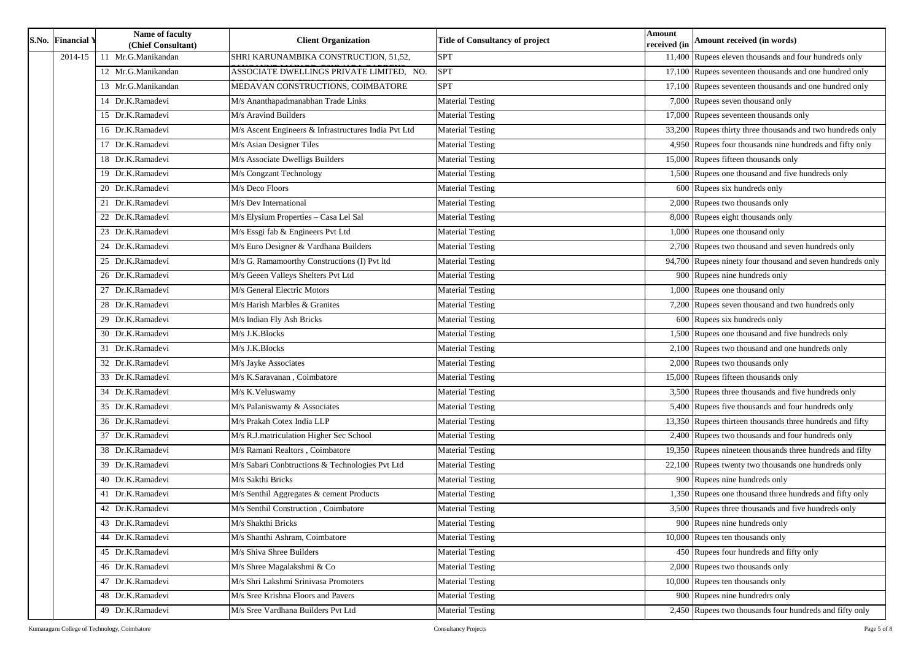| S.No. Financial Y | Name of faculty<br>(Chief Consultant) | <b>Client Organization</b>                           | <b>Title of Consultancy of project</b> | <b>Amount</b><br>received (in | Amount received (in words)                                |
|-------------------|---------------------------------------|------------------------------------------------------|----------------------------------------|-------------------------------|-----------------------------------------------------------|
| 2014-15           | 11 Mr.G.Manikandan                    | SHRI KARUNAMBIKA CONSTRUCTION, 51,52,                | <b>SPT</b>                             |                               | 11,400 Rupees eleven thousands and four hundreds only     |
|                   | 12 Mr.G.Manikandan                    | ASSOCIATE DWELLINGS PRIVATE LIMITED, NO.             | <b>SPT</b>                             |                               | 17,100 Rupees seventeen thousands and one hundred only    |
|                   | 13 Mr.G.Manikandan                    | MEDAVAN CONSTRUCTIONS, COIMBATORE                    | <b>SPT</b>                             |                               | 17,100 Rupees seventeen thousands and one hundred only    |
|                   | 14 Dr.K.Ramadevi                      | M/s Ananthapadmanabhan Trade Links                   | <b>Material Testing</b>                |                               | 7,000 Rupees seven thousand only                          |
|                   | 15 Dr.K.Ramadevi                      | M/s Aravind Builders                                 | <b>Material Testing</b>                |                               | 17,000 Rupees seventeen thousands only                    |
|                   | 16 Dr.K.Ramadevi                      | M/s Ascent Engineers & Infrastructures India Pvt Ltd | <b>Material Testing</b>                |                               | 33,200 Rupees thirty three thousands and two hundreds onl |
|                   | 17 Dr.K.Ramadevi                      | M/s Asian Designer Tiles                             | Material Testing                       |                               | 4,950 Rupees four thousands nine hundreds and fifty only  |
|                   | 18 Dr.K.Ramadevi                      | M/s Associate Dwelligs Builders                      | Material Testing                       |                               | 15,000 Rupees fifteen thousands only                      |
|                   | 19 Dr.K.Ramadevi                      | M/s Congzant Technology                              | <b>Material Testing</b>                |                               | 1,500 Rupees one thousand and five hundreds only          |
|                   | 20 Dr.K.Ramadevi                      | M/s Deco Floors                                      | <b>Material Testing</b>                |                               | 600 Rupees six hundreds only                              |
|                   | 21 Dr.K.Ramadevi                      | M/s Dev International                                | Material Testing                       |                               | 2,000 Rupees two thousands only                           |
|                   | 22 Dr.K.Ramadevi                      | M/s Elysium Properties - Casa Lel Sal                | <b>Material Testing</b>                |                               | 8,000 Rupees eight thousands only                         |
|                   | 23 Dr.K.Ramadevi                      | M/s Essgi fab & Engineers Pvt Ltd                    | Material Testing                       |                               | 1,000 Rupees one thousand only                            |
|                   | 24 Dr.K.Ramadevi                      | M/s Euro Designer & Vardhana Builders                | Material Testing                       |                               | 2,700 Rupees two thousand and seven hundreds only         |
|                   | 25 Dr.K.Ramadevi                      | M/s G. Ramamoorthy Constructions (I) Pvt ltd         | Material Testing                       |                               | 94,700 Rupees ninety four thousand and seven hundreds on  |
|                   | 26 Dr.K.Ramadevi                      | M/s Geeen Valleys Shelters Pvt Ltd                   | <b>Material Testing</b>                |                               | 900 Rupees nine hundreds only                             |
|                   | 27 Dr.K.Ramadevi                      | M/s General Electric Motors                          | <b>Material Testing</b>                |                               | 1,000 Rupees one thousand only                            |
|                   | 28 Dr.K.Ramadevi                      | M/s Harish Marbles & Granites                        | <b>Material Testing</b>                |                               | 7,200 Rupees seven thousand and two hundreds only         |
|                   | 29 Dr.K.Ramadevi                      | M/s Indian Fly Ash Bricks                            | <b>Material Testing</b>                |                               | 600 Rupees six hundreds only                              |
|                   | 30 Dr.K.Ramadevi                      | M/s J.K.Blocks                                       | <b>Material Testing</b>                |                               | 1,500 Rupees one thousand and five hundreds only          |
|                   | 31 Dr.K.Ramadevi                      | M/s J.K.Blocks                                       | Material Testing                       |                               | 2,100 Rupees two thousand and one hundreds only           |
|                   | 32 Dr.K.Ramadevi                      | M/s Jayke Associates                                 | <b>Material Testing</b>                |                               | 2,000 Rupees two thousands only                           |
|                   | 33 Dr.K.Ramadevi                      | M/s K.Saravanan, Coimbatore                          | <b>Material Testing</b>                |                               | 15,000 Rupees fifteen thousands only                      |
|                   | 34 Dr.K.Ramadevi                      | M/s K.Veluswamy                                      | <b>Material Testing</b>                |                               | 3,500 Rupees three thousands and five hundreds only       |
|                   | 35 Dr.K.Ramadevi                      | M/s Palaniswamy & Associates                         | <b>Material Testing</b>                |                               | 5,400 Rupees five thousands and four hundreds only        |
|                   | 36 Dr.K.Ramadevi                      | M/s Prakah Cotex India LLP                           | Material Testing                       |                               | 13,350 Rupees thirteen thousands three hundreds and fifty |
|                   | 37 Dr.K.Ramadevi                      | M/s R.J.matriculation Higher Sec School              | Material Testing                       |                               | 2,400 Rupees two thousands and four hundreds only         |
|                   | 38 Dr.K.Ramadevi                      | M/s Ramani Realtors, Coimbatore                      | Material Testing                       |                               | 19,350 Rupees nineteen thousands three hundreds and fifty |
|                   | 39 Dr.K.Ramadevi                      | M/s Sabari Conbtructions & Technologies Pvt Ltd      | <b>Material Testing</b>                |                               | $22,100$ Rupees twenty two thousands one hundreds only    |
|                   | 40 Dr.K.Ramadevi                      | M/s Sakthi Bricks                                    | <b>Material Testing</b>                |                               | 900 Rupees nine hundreds only                             |
|                   | 41 Dr.K.Ramadevi                      | M/s Senthil Aggregates & cement Products             | <b>Material Testing</b>                |                               | 1,350 Rupees one thousand three hundreds and fifty only   |
|                   | 42 Dr.K.Ramadevi                      | M/s Senthil Construction, Coimbatore                 | <b>Material Testing</b>                |                               | 3,500 Rupees three thousands and five hundreds only       |
|                   | 43 Dr.K.Ramadevi                      | M/s Shakthi Bricks                                   | Material Testing                       |                               | 900 Rupees nine hundreds only                             |
|                   | 44 Dr.K.Ramadevi                      | M/s Shanthi Ashram, Coimbatore                       | <b>Material Testing</b>                |                               | 10,000 Rupees ten thousands only                          |
|                   | 45 Dr.K.Ramadevi                      | M/s Shiva Shree Builders                             | Material Testing                       |                               | 450 Rupees four hundreds and fifty only                   |
|                   | 46 Dr.K.Ramadevi                      | M/s Shree Magalakshmi & Co                           | Material Testing                       |                               | 2,000 Rupees two thousands only                           |
|                   | 47 Dr.K.Ramadevi                      | M/s Shri Lakshmi Srinivasa Promoters                 | <b>Material Testing</b>                |                               | 10,000 Rupees ten thousands only                          |
|                   | 48 Dr.K.Ramadevi                      | M/s Sree Krishna Floors and Pavers                   | <b>Material Testing</b>                |                               | 900 Rupees nine hundredrs only                            |
|                   | 49 Dr.K.Ramadevi                      | M/s Sree Vardhana Builders Pvt Ltd                   | <b>Material Testing</b>                |                               | 2,450 Rupees two thousands four hundreds and fifty only   |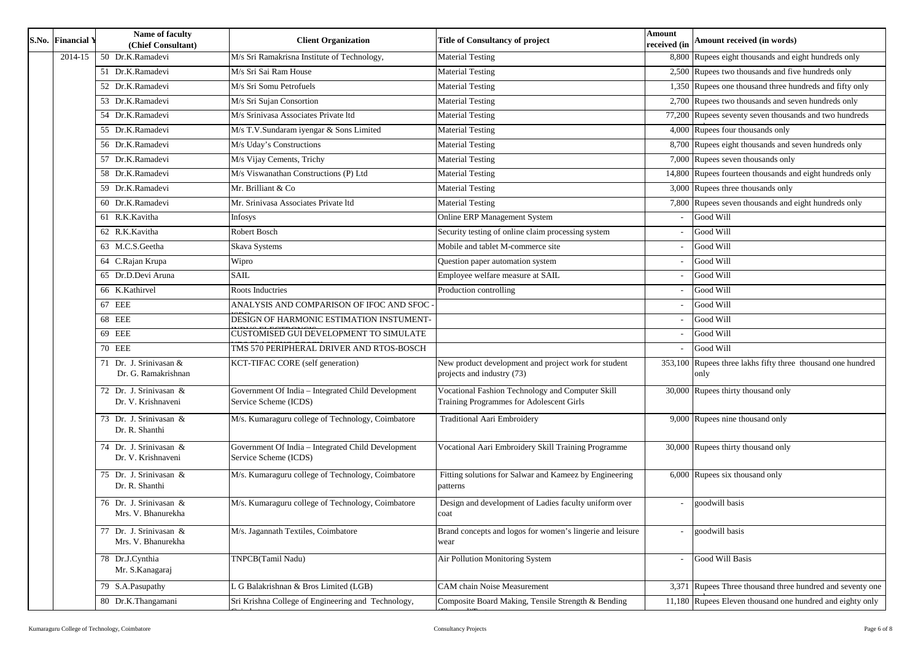| 8,800 Rupees eight thousands and eight hundreds only<br>50 Dr.K.Ramadevi<br>M/s Sri Ramakrisna Institute of Technology,<br><b>Material Testing</b><br>2014-15<br>2,500 Rupees two thousands and five hundreds only<br>M/s Sri Sai Ram House<br><b>Material Testing</b><br>51 Dr.K.Ramadevi<br>Material Testing<br>1,350 Rupees one thousand three hundreds and fifty only<br>52 Dr.K.Ramadevi<br>M/s Sri Somu Petrofuels<br>M/s Sri Sujan Consortion<br>2,700 Rupees two thousands and seven hundreds only<br>53 Dr.K.Ramadevi<br><b>Material Testing</b><br>77,200 Rupees seventy seven thousands and two hundreds<br>54 Dr.K.Ramadevi<br>M/s Srinivasa Associates Private ltd<br><b>Material Testing</b><br>4,000 Rupees four thousands only<br>M/s T.V.Sundaram iyengar & Sons Limited<br><b>Material Testing</b><br>55 Dr.K.Ramadevi<br>M/s Uday's Constructions<br><b>Material Testing</b><br>8,700 Rupees eight thousands and seven hundreds only<br>56 Dr.K.Ramadevi<br>$\overline{7,000}$ Rupees seven thousands only<br>M/s Vijay Cements, Trichy<br>57 Dr.K.Ramadevi<br><b>Material Testing</b><br>M/s Viswanathan Constructions (P) Ltd<br>14,800 Rupees fourteen thousands and eight hundreds only<br>58 Dr.K.Ramadevi<br><b>Material Testing</b><br><b>Material Testing</b><br>$3,000$ Rupees three thousands only<br>59 Dr.K.Ramadevi<br>Mr. Brilliant & Co<br>7,800 Rupees seven thousands and eight hundreds only<br><b>Material Testing</b><br>60 Dr.K.Ramadevi<br>Mr. Srinivasa Associates Private ltd<br>61 R.K.Kavitha<br><b>Online ERP Management System</b><br>Good Will<br><b>Infosys</b><br>62 R.K.Kavitha<br>Good Will<br>Robert Bosch<br>Security testing of online claim processing system<br>63 M.C.S.Geetha<br>Mobile and tablet M-commerce site<br>Good Will<br>Skava Systems<br>Good Will<br>64 C.Rajan Krupa<br>Wipro<br>Question paper automation system<br>65 Dr.D.Devi Aruna<br>Employee welfare measure at SAIL<br><b>SAIL</b><br>Good Will<br>Production controlling<br>66 K.Kathirvel<br><b>Roots Inductries</b><br>Good Will<br>67 EEE<br>Good Will<br>ANALYSIS AND COMPARISON OF IFOC AND SFOC<br><b>68 EEE</b><br>DESIGN OF HARMONIC ESTIMATION INSTUMENT-<br>Good Will<br>Good Will<br>69 EEE<br>CUSTOMISED GUI DEVELOPMENT TO SIMULATE<br>Good Will<br><b>70 EEE</b><br>TMS 570 PERIPHERAL DRIVER AND RTOS-BOSCH<br>KCT-TIFAC CORE (self generation)<br>New product development and project work for student<br>353,100 Rupees three lakhs fifty three thousand one hundred<br>71 Dr. J. Srinivasan &<br>projects and industry (73)<br>Dr. G. Ramakrishnan<br>only<br>72 Dr. J. Srinivasan &<br>Government Of India - Integrated Child Development<br>Vocational Fashion Technology and Computer Skill<br>30,000 Rupees thirty thousand only<br>Dr. V. Krishnaveni<br>Service Scheme (ICDS)<br><b>Training Programmes for Adolescent Girls</b><br>73 Dr. J. Srinivasan &<br>M/s. Kumaraguru college of Technology, Coimbatore<br><b>Traditional Aari Embroidery</b><br>9,000 Rupees nine thousand only<br>Dr. R. Shanthi<br>74 Dr. J. Srinivasan &<br>Government Of India - Integrated Child Development<br>Vocational Aari Embroidery Skill Training Programme<br>30,000 Rupees thirty thousand only<br>Dr. V. Krishnaveni<br>Service Scheme (ICDS)<br>75 Dr. J. Srinivasan &<br>M/s. Kumaraguru college of Technology, Coimbatore<br>$6,000$ Rupees six thousand only<br>Fitting solutions for Salwar and Kameez by Engineering<br>Dr. R. Shanthi<br>patterns<br>76 Dr. J. Srinivasan &<br>M/s. Kumaraguru college of Technology, Coimbatore<br>Design and development of Ladies faculty uniform over<br>goodwill basis<br>Mrs. V. Bhanurekha<br>coat<br>Dr. J. Srinivasan &<br>M/s. Jagannath Textiles, Coimbatore<br>Brand concepts and logos for women's lingerie and leisure<br>goodwill basis<br>77<br>Mrs. V. Bhanurekha<br>wear<br>78 Dr.J.Cynthia<br>TNPCB(Tamil Nadu)<br>Air Pollution Monitoring System<br>Good Will Basis<br>Mr. S.Kanagaraj<br>3,371 Rupees Three thousand three hundred and seventy one<br>G Balakrishnan & Bros Limited (LGB)<br><b>CAM</b> chain Noise Measurement<br>79 S.A.Pasupathy<br>80 Dr.K.Thangamani<br>Sri Krishna College of Engineering and Technology,<br>Composite Board Making, Tensile Strength & Bending<br>11,180 Rupees Eleven thousand one hundred and eighty only | S.No. Financial Y | Name of faculty<br>(Chief Consultant) | <b>Client Organization</b> | <b>Title of Consultancy of project</b> | <b>Amount</b><br>received (in | Amount received (in words) |
|-------------------------------------------------------------------------------------------------------------------------------------------------------------------------------------------------------------------------------------------------------------------------------------------------------------------------------------------------------------------------------------------------------------------------------------------------------------------------------------------------------------------------------------------------------------------------------------------------------------------------------------------------------------------------------------------------------------------------------------------------------------------------------------------------------------------------------------------------------------------------------------------------------------------------------------------------------------------------------------------------------------------------------------------------------------------------------------------------------------------------------------------------------------------------------------------------------------------------------------------------------------------------------------------------------------------------------------------------------------------------------------------------------------------------------------------------------------------------------------------------------------------------------------------------------------------------------------------------------------------------------------------------------------------------------------------------------------------------------------------------------------------------------------------------------------------------------------------------------------------------------------------------------------------------------------------------------------------------------------------------------------------------------------------------------------------------------------------------------------------------------------------------------------------------------------------------------------------------------------------------------------------------------------------------------------------------------------------------------------------------------------------------------------------------------------------------------------------------------------------------------------------------------------------------------------------------------------------------------------------------------------------------------------------------------------------------------------------------------------------------------------------------------------------------------------------------------------------------------------------------------------------------------------------------------------------------------------------------------------------------------------------------------------------------------------------------------------------------------------------------------------------------------------------------------------------------------------------------------------------------------------------------------------------------------------------------------------------------------------------------------------------------------------------------------------------------------------------------------------------------------------------------------------------------------------------------------------------------------------------------------------------------------------------------------------------------------------------------------------------------------------------------------------------------------------------------------------------------------------------------------------------------------------------------------------------------------------------------------------------------------------------------------------------------------------------------------------------------------------------------------------------------------------------------------------------------------------------------------------------------------------------------------------------------------------------------------------------------------------------|-------------------|---------------------------------------|----------------------------|----------------------------------------|-------------------------------|----------------------------|
|                                                                                                                                                                                                                                                                                                                                                                                                                                                                                                                                                                                                                                                                                                                                                                                                                                                                                                                                                                                                                                                                                                                                                                                                                                                                                                                                                                                                                                                                                                                                                                                                                                                                                                                                                                                                                                                                                                                                                                                                                                                                                                                                                                                                                                                                                                                                                                                                                                                                                                                                                                                                                                                                                                                                                                                                                                                                                                                                                                                                                                                                                                                                                                                                                                                                                                                                                                                                                                                                                                                                                                                                                                                                                                                                                                                                                                                                                                                                                                                                                                                                                                                                                                                                                                                                                                                                                                   |                   |                                       |                            |                                        |                               |                            |
|                                                                                                                                                                                                                                                                                                                                                                                                                                                                                                                                                                                                                                                                                                                                                                                                                                                                                                                                                                                                                                                                                                                                                                                                                                                                                                                                                                                                                                                                                                                                                                                                                                                                                                                                                                                                                                                                                                                                                                                                                                                                                                                                                                                                                                                                                                                                                                                                                                                                                                                                                                                                                                                                                                                                                                                                                                                                                                                                                                                                                                                                                                                                                                                                                                                                                                                                                                                                                                                                                                                                                                                                                                                                                                                                                                                                                                                                                                                                                                                                                                                                                                                                                                                                                                                                                                                                                                   |                   |                                       |                            |                                        |                               |                            |
|                                                                                                                                                                                                                                                                                                                                                                                                                                                                                                                                                                                                                                                                                                                                                                                                                                                                                                                                                                                                                                                                                                                                                                                                                                                                                                                                                                                                                                                                                                                                                                                                                                                                                                                                                                                                                                                                                                                                                                                                                                                                                                                                                                                                                                                                                                                                                                                                                                                                                                                                                                                                                                                                                                                                                                                                                                                                                                                                                                                                                                                                                                                                                                                                                                                                                                                                                                                                                                                                                                                                                                                                                                                                                                                                                                                                                                                                                                                                                                                                                                                                                                                                                                                                                                                                                                                                                                   |                   |                                       |                            |                                        |                               |                            |
|                                                                                                                                                                                                                                                                                                                                                                                                                                                                                                                                                                                                                                                                                                                                                                                                                                                                                                                                                                                                                                                                                                                                                                                                                                                                                                                                                                                                                                                                                                                                                                                                                                                                                                                                                                                                                                                                                                                                                                                                                                                                                                                                                                                                                                                                                                                                                                                                                                                                                                                                                                                                                                                                                                                                                                                                                                                                                                                                                                                                                                                                                                                                                                                                                                                                                                                                                                                                                                                                                                                                                                                                                                                                                                                                                                                                                                                                                                                                                                                                                                                                                                                                                                                                                                                                                                                                                                   |                   |                                       |                            |                                        |                               |                            |
|                                                                                                                                                                                                                                                                                                                                                                                                                                                                                                                                                                                                                                                                                                                                                                                                                                                                                                                                                                                                                                                                                                                                                                                                                                                                                                                                                                                                                                                                                                                                                                                                                                                                                                                                                                                                                                                                                                                                                                                                                                                                                                                                                                                                                                                                                                                                                                                                                                                                                                                                                                                                                                                                                                                                                                                                                                                                                                                                                                                                                                                                                                                                                                                                                                                                                                                                                                                                                                                                                                                                                                                                                                                                                                                                                                                                                                                                                                                                                                                                                                                                                                                                                                                                                                                                                                                                                                   |                   |                                       |                            |                                        |                               |                            |
|                                                                                                                                                                                                                                                                                                                                                                                                                                                                                                                                                                                                                                                                                                                                                                                                                                                                                                                                                                                                                                                                                                                                                                                                                                                                                                                                                                                                                                                                                                                                                                                                                                                                                                                                                                                                                                                                                                                                                                                                                                                                                                                                                                                                                                                                                                                                                                                                                                                                                                                                                                                                                                                                                                                                                                                                                                                                                                                                                                                                                                                                                                                                                                                                                                                                                                                                                                                                                                                                                                                                                                                                                                                                                                                                                                                                                                                                                                                                                                                                                                                                                                                                                                                                                                                                                                                                                                   |                   |                                       |                            |                                        |                               |                            |
|                                                                                                                                                                                                                                                                                                                                                                                                                                                                                                                                                                                                                                                                                                                                                                                                                                                                                                                                                                                                                                                                                                                                                                                                                                                                                                                                                                                                                                                                                                                                                                                                                                                                                                                                                                                                                                                                                                                                                                                                                                                                                                                                                                                                                                                                                                                                                                                                                                                                                                                                                                                                                                                                                                                                                                                                                                                                                                                                                                                                                                                                                                                                                                                                                                                                                                                                                                                                                                                                                                                                                                                                                                                                                                                                                                                                                                                                                                                                                                                                                                                                                                                                                                                                                                                                                                                                                                   |                   |                                       |                            |                                        |                               |                            |
|                                                                                                                                                                                                                                                                                                                                                                                                                                                                                                                                                                                                                                                                                                                                                                                                                                                                                                                                                                                                                                                                                                                                                                                                                                                                                                                                                                                                                                                                                                                                                                                                                                                                                                                                                                                                                                                                                                                                                                                                                                                                                                                                                                                                                                                                                                                                                                                                                                                                                                                                                                                                                                                                                                                                                                                                                                                                                                                                                                                                                                                                                                                                                                                                                                                                                                                                                                                                                                                                                                                                                                                                                                                                                                                                                                                                                                                                                                                                                                                                                                                                                                                                                                                                                                                                                                                                                                   |                   |                                       |                            |                                        |                               |                            |
|                                                                                                                                                                                                                                                                                                                                                                                                                                                                                                                                                                                                                                                                                                                                                                                                                                                                                                                                                                                                                                                                                                                                                                                                                                                                                                                                                                                                                                                                                                                                                                                                                                                                                                                                                                                                                                                                                                                                                                                                                                                                                                                                                                                                                                                                                                                                                                                                                                                                                                                                                                                                                                                                                                                                                                                                                                                                                                                                                                                                                                                                                                                                                                                                                                                                                                                                                                                                                                                                                                                                                                                                                                                                                                                                                                                                                                                                                                                                                                                                                                                                                                                                                                                                                                                                                                                                                                   |                   |                                       |                            |                                        |                               |                            |
|                                                                                                                                                                                                                                                                                                                                                                                                                                                                                                                                                                                                                                                                                                                                                                                                                                                                                                                                                                                                                                                                                                                                                                                                                                                                                                                                                                                                                                                                                                                                                                                                                                                                                                                                                                                                                                                                                                                                                                                                                                                                                                                                                                                                                                                                                                                                                                                                                                                                                                                                                                                                                                                                                                                                                                                                                                                                                                                                                                                                                                                                                                                                                                                                                                                                                                                                                                                                                                                                                                                                                                                                                                                                                                                                                                                                                                                                                                                                                                                                                                                                                                                                                                                                                                                                                                                                                                   |                   |                                       |                            |                                        |                               |                            |
|                                                                                                                                                                                                                                                                                                                                                                                                                                                                                                                                                                                                                                                                                                                                                                                                                                                                                                                                                                                                                                                                                                                                                                                                                                                                                                                                                                                                                                                                                                                                                                                                                                                                                                                                                                                                                                                                                                                                                                                                                                                                                                                                                                                                                                                                                                                                                                                                                                                                                                                                                                                                                                                                                                                                                                                                                                                                                                                                                                                                                                                                                                                                                                                                                                                                                                                                                                                                                                                                                                                                                                                                                                                                                                                                                                                                                                                                                                                                                                                                                                                                                                                                                                                                                                                                                                                                                                   |                   |                                       |                            |                                        |                               |                            |
|                                                                                                                                                                                                                                                                                                                                                                                                                                                                                                                                                                                                                                                                                                                                                                                                                                                                                                                                                                                                                                                                                                                                                                                                                                                                                                                                                                                                                                                                                                                                                                                                                                                                                                                                                                                                                                                                                                                                                                                                                                                                                                                                                                                                                                                                                                                                                                                                                                                                                                                                                                                                                                                                                                                                                                                                                                                                                                                                                                                                                                                                                                                                                                                                                                                                                                                                                                                                                                                                                                                                                                                                                                                                                                                                                                                                                                                                                                                                                                                                                                                                                                                                                                                                                                                                                                                                                                   |                   |                                       |                            |                                        |                               |                            |
|                                                                                                                                                                                                                                                                                                                                                                                                                                                                                                                                                                                                                                                                                                                                                                                                                                                                                                                                                                                                                                                                                                                                                                                                                                                                                                                                                                                                                                                                                                                                                                                                                                                                                                                                                                                                                                                                                                                                                                                                                                                                                                                                                                                                                                                                                                                                                                                                                                                                                                                                                                                                                                                                                                                                                                                                                                                                                                                                                                                                                                                                                                                                                                                                                                                                                                                                                                                                                                                                                                                                                                                                                                                                                                                                                                                                                                                                                                                                                                                                                                                                                                                                                                                                                                                                                                                                                                   |                   |                                       |                            |                                        |                               |                            |
|                                                                                                                                                                                                                                                                                                                                                                                                                                                                                                                                                                                                                                                                                                                                                                                                                                                                                                                                                                                                                                                                                                                                                                                                                                                                                                                                                                                                                                                                                                                                                                                                                                                                                                                                                                                                                                                                                                                                                                                                                                                                                                                                                                                                                                                                                                                                                                                                                                                                                                                                                                                                                                                                                                                                                                                                                                                                                                                                                                                                                                                                                                                                                                                                                                                                                                                                                                                                                                                                                                                                                                                                                                                                                                                                                                                                                                                                                                                                                                                                                                                                                                                                                                                                                                                                                                                                                                   |                   |                                       |                            |                                        |                               |                            |
|                                                                                                                                                                                                                                                                                                                                                                                                                                                                                                                                                                                                                                                                                                                                                                                                                                                                                                                                                                                                                                                                                                                                                                                                                                                                                                                                                                                                                                                                                                                                                                                                                                                                                                                                                                                                                                                                                                                                                                                                                                                                                                                                                                                                                                                                                                                                                                                                                                                                                                                                                                                                                                                                                                                                                                                                                                                                                                                                                                                                                                                                                                                                                                                                                                                                                                                                                                                                                                                                                                                                                                                                                                                                                                                                                                                                                                                                                                                                                                                                                                                                                                                                                                                                                                                                                                                                                                   |                   |                                       |                            |                                        |                               |                            |
|                                                                                                                                                                                                                                                                                                                                                                                                                                                                                                                                                                                                                                                                                                                                                                                                                                                                                                                                                                                                                                                                                                                                                                                                                                                                                                                                                                                                                                                                                                                                                                                                                                                                                                                                                                                                                                                                                                                                                                                                                                                                                                                                                                                                                                                                                                                                                                                                                                                                                                                                                                                                                                                                                                                                                                                                                                                                                                                                                                                                                                                                                                                                                                                                                                                                                                                                                                                                                                                                                                                                                                                                                                                                                                                                                                                                                                                                                                                                                                                                                                                                                                                                                                                                                                                                                                                                                                   |                   |                                       |                            |                                        |                               |                            |
|                                                                                                                                                                                                                                                                                                                                                                                                                                                                                                                                                                                                                                                                                                                                                                                                                                                                                                                                                                                                                                                                                                                                                                                                                                                                                                                                                                                                                                                                                                                                                                                                                                                                                                                                                                                                                                                                                                                                                                                                                                                                                                                                                                                                                                                                                                                                                                                                                                                                                                                                                                                                                                                                                                                                                                                                                                                                                                                                                                                                                                                                                                                                                                                                                                                                                                                                                                                                                                                                                                                                                                                                                                                                                                                                                                                                                                                                                                                                                                                                                                                                                                                                                                                                                                                                                                                                                                   |                   |                                       |                            |                                        |                               |                            |
|                                                                                                                                                                                                                                                                                                                                                                                                                                                                                                                                                                                                                                                                                                                                                                                                                                                                                                                                                                                                                                                                                                                                                                                                                                                                                                                                                                                                                                                                                                                                                                                                                                                                                                                                                                                                                                                                                                                                                                                                                                                                                                                                                                                                                                                                                                                                                                                                                                                                                                                                                                                                                                                                                                                                                                                                                                                                                                                                                                                                                                                                                                                                                                                                                                                                                                                                                                                                                                                                                                                                                                                                                                                                                                                                                                                                                                                                                                                                                                                                                                                                                                                                                                                                                                                                                                                                                                   |                   |                                       |                            |                                        |                               |                            |
|                                                                                                                                                                                                                                                                                                                                                                                                                                                                                                                                                                                                                                                                                                                                                                                                                                                                                                                                                                                                                                                                                                                                                                                                                                                                                                                                                                                                                                                                                                                                                                                                                                                                                                                                                                                                                                                                                                                                                                                                                                                                                                                                                                                                                                                                                                                                                                                                                                                                                                                                                                                                                                                                                                                                                                                                                                                                                                                                                                                                                                                                                                                                                                                                                                                                                                                                                                                                                                                                                                                                                                                                                                                                                                                                                                                                                                                                                                                                                                                                                                                                                                                                                                                                                                                                                                                                                                   |                   |                                       |                            |                                        |                               |                            |
|                                                                                                                                                                                                                                                                                                                                                                                                                                                                                                                                                                                                                                                                                                                                                                                                                                                                                                                                                                                                                                                                                                                                                                                                                                                                                                                                                                                                                                                                                                                                                                                                                                                                                                                                                                                                                                                                                                                                                                                                                                                                                                                                                                                                                                                                                                                                                                                                                                                                                                                                                                                                                                                                                                                                                                                                                                                                                                                                                                                                                                                                                                                                                                                                                                                                                                                                                                                                                                                                                                                                                                                                                                                                                                                                                                                                                                                                                                                                                                                                                                                                                                                                                                                                                                                                                                                                                                   |                   |                                       |                            |                                        |                               |                            |
|                                                                                                                                                                                                                                                                                                                                                                                                                                                                                                                                                                                                                                                                                                                                                                                                                                                                                                                                                                                                                                                                                                                                                                                                                                                                                                                                                                                                                                                                                                                                                                                                                                                                                                                                                                                                                                                                                                                                                                                                                                                                                                                                                                                                                                                                                                                                                                                                                                                                                                                                                                                                                                                                                                                                                                                                                                                                                                                                                                                                                                                                                                                                                                                                                                                                                                                                                                                                                                                                                                                                                                                                                                                                                                                                                                                                                                                                                                                                                                                                                                                                                                                                                                                                                                                                                                                                                                   |                   |                                       |                            |                                        |                               |                            |
|                                                                                                                                                                                                                                                                                                                                                                                                                                                                                                                                                                                                                                                                                                                                                                                                                                                                                                                                                                                                                                                                                                                                                                                                                                                                                                                                                                                                                                                                                                                                                                                                                                                                                                                                                                                                                                                                                                                                                                                                                                                                                                                                                                                                                                                                                                                                                                                                                                                                                                                                                                                                                                                                                                                                                                                                                                                                                                                                                                                                                                                                                                                                                                                                                                                                                                                                                                                                                                                                                                                                                                                                                                                                                                                                                                                                                                                                                                                                                                                                                                                                                                                                                                                                                                                                                                                                                                   |                   |                                       |                            |                                        |                               |                            |
|                                                                                                                                                                                                                                                                                                                                                                                                                                                                                                                                                                                                                                                                                                                                                                                                                                                                                                                                                                                                                                                                                                                                                                                                                                                                                                                                                                                                                                                                                                                                                                                                                                                                                                                                                                                                                                                                                                                                                                                                                                                                                                                                                                                                                                                                                                                                                                                                                                                                                                                                                                                                                                                                                                                                                                                                                                                                                                                                                                                                                                                                                                                                                                                                                                                                                                                                                                                                                                                                                                                                                                                                                                                                                                                                                                                                                                                                                                                                                                                                                                                                                                                                                                                                                                                                                                                                                                   |                   |                                       |                            |                                        |                               |                            |
|                                                                                                                                                                                                                                                                                                                                                                                                                                                                                                                                                                                                                                                                                                                                                                                                                                                                                                                                                                                                                                                                                                                                                                                                                                                                                                                                                                                                                                                                                                                                                                                                                                                                                                                                                                                                                                                                                                                                                                                                                                                                                                                                                                                                                                                                                                                                                                                                                                                                                                                                                                                                                                                                                                                                                                                                                                                                                                                                                                                                                                                                                                                                                                                                                                                                                                                                                                                                                                                                                                                                                                                                                                                                                                                                                                                                                                                                                                                                                                                                                                                                                                                                                                                                                                                                                                                                                                   |                   |                                       |                            |                                        |                               |                            |
|                                                                                                                                                                                                                                                                                                                                                                                                                                                                                                                                                                                                                                                                                                                                                                                                                                                                                                                                                                                                                                                                                                                                                                                                                                                                                                                                                                                                                                                                                                                                                                                                                                                                                                                                                                                                                                                                                                                                                                                                                                                                                                                                                                                                                                                                                                                                                                                                                                                                                                                                                                                                                                                                                                                                                                                                                                                                                                                                                                                                                                                                                                                                                                                                                                                                                                                                                                                                                                                                                                                                                                                                                                                                                                                                                                                                                                                                                                                                                                                                                                                                                                                                                                                                                                                                                                                                                                   |                   |                                       |                            |                                        |                               |                            |
|                                                                                                                                                                                                                                                                                                                                                                                                                                                                                                                                                                                                                                                                                                                                                                                                                                                                                                                                                                                                                                                                                                                                                                                                                                                                                                                                                                                                                                                                                                                                                                                                                                                                                                                                                                                                                                                                                                                                                                                                                                                                                                                                                                                                                                                                                                                                                                                                                                                                                                                                                                                                                                                                                                                                                                                                                                                                                                                                                                                                                                                                                                                                                                                                                                                                                                                                                                                                                                                                                                                                                                                                                                                                                                                                                                                                                                                                                                                                                                                                                                                                                                                                                                                                                                                                                                                                                                   |                   |                                       |                            |                                        |                               |                            |
|                                                                                                                                                                                                                                                                                                                                                                                                                                                                                                                                                                                                                                                                                                                                                                                                                                                                                                                                                                                                                                                                                                                                                                                                                                                                                                                                                                                                                                                                                                                                                                                                                                                                                                                                                                                                                                                                                                                                                                                                                                                                                                                                                                                                                                                                                                                                                                                                                                                                                                                                                                                                                                                                                                                                                                                                                                                                                                                                                                                                                                                                                                                                                                                                                                                                                                                                                                                                                                                                                                                                                                                                                                                                                                                                                                                                                                                                                                                                                                                                                                                                                                                                                                                                                                                                                                                                                                   |                   |                                       |                            |                                        |                               |                            |
|                                                                                                                                                                                                                                                                                                                                                                                                                                                                                                                                                                                                                                                                                                                                                                                                                                                                                                                                                                                                                                                                                                                                                                                                                                                                                                                                                                                                                                                                                                                                                                                                                                                                                                                                                                                                                                                                                                                                                                                                                                                                                                                                                                                                                                                                                                                                                                                                                                                                                                                                                                                                                                                                                                                                                                                                                                                                                                                                                                                                                                                                                                                                                                                                                                                                                                                                                                                                                                                                                                                                                                                                                                                                                                                                                                                                                                                                                                                                                                                                                                                                                                                                                                                                                                                                                                                                                                   |                   |                                       |                            |                                        |                               |                            |
|                                                                                                                                                                                                                                                                                                                                                                                                                                                                                                                                                                                                                                                                                                                                                                                                                                                                                                                                                                                                                                                                                                                                                                                                                                                                                                                                                                                                                                                                                                                                                                                                                                                                                                                                                                                                                                                                                                                                                                                                                                                                                                                                                                                                                                                                                                                                                                                                                                                                                                                                                                                                                                                                                                                                                                                                                                                                                                                                                                                                                                                                                                                                                                                                                                                                                                                                                                                                                                                                                                                                                                                                                                                                                                                                                                                                                                                                                                                                                                                                                                                                                                                                                                                                                                                                                                                                                                   |                   |                                       |                            |                                        |                               |                            |
|                                                                                                                                                                                                                                                                                                                                                                                                                                                                                                                                                                                                                                                                                                                                                                                                                                                                                                                                                                                                                                                                                                                                                                                                                                                                                                                                                                                                                                                                                                                                                                                                                                                                                                                                                                                                                                                                                                                                                                                                                                                                                                                                                                                                                                                                                                                                                                                                                                                                                                                                                                                                                                                                                                                                                                                                                                                                                                                                                                                                                                                                                                                                                                                                                                                                                                                                                                                                                                                                                                                                                                                                                                                                                                                                                                                                                                                                                                                                                                                                                                                                                                                                                                                                                                                                                                                                                                   |                   |                                       |                            |                                        |                               |                            |
|                                                                                                                                                                                                                                                                                                                                                                                                                                                                                                                                                                                                                                                                                                                                                                                                                                                                                                                                                                                                                                                                                                                                                                                                                                                                                                                                                                                                                                                                                                                                                                                                                                                                                                                                                                                                                                                                                                                                                                                                                                                                                                                                                                                                                                                                                                                                                                                                                                                                                                                                                                                                                                                                                                                                                                                                                                                                                                                                                                                                                                                                                                                                                                                                                                                                                                                                                                                                                                                                                                                                                                                                                                                                                                                                                                                                                                                                                                                                                                                                                                                                                                                                                                                                                                                                                                                                                                   |                   |                                       |                            |                                        |                               |                            |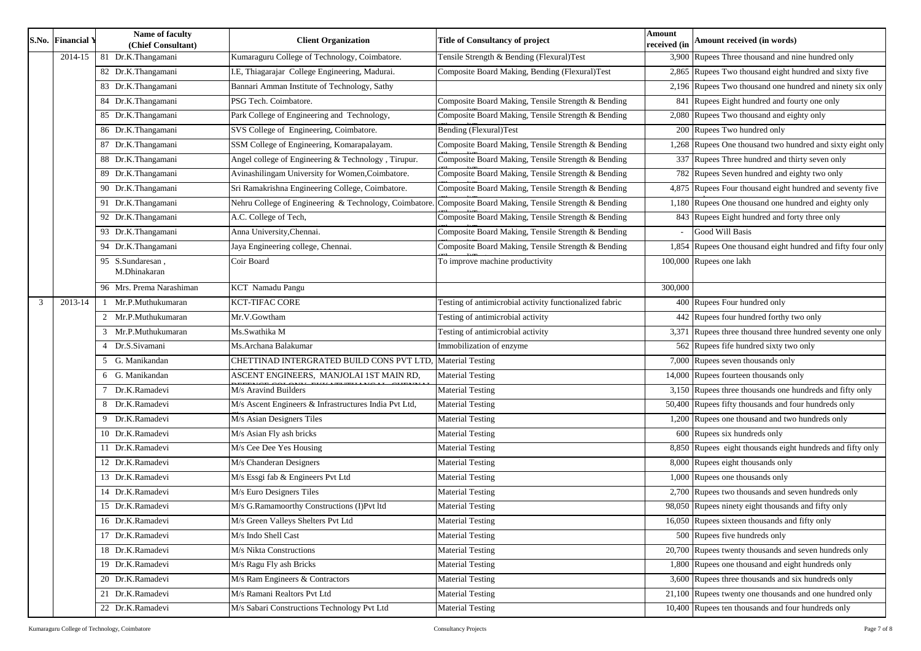Rupees Three thousand and nine hundred only

Rupees Two thousand eight hundred and sixty five

Rupees Two thousand one hundred and ninety six only

Rupees Eight hundred and fourty one only

Rupees Two thousand and eighty only

Rupees One thousand two hundred and sixty eight only

Rupees Three hundred and thirty seven only

Rupees Seven hundred and eighty two only

Rupees Four thousand eight hundred and seventy five

Rupees One thousand one hundred and eighty only

Rupees Eight hundred and forty three only

Rupees One thousand eight hundred and fifty four only

Rupees four hundred forthy two only

Rupees three thousand three hundred seventy one only

Rupees fife hundred sixty two only

Rupees fourteen thousands only

Rupees three thousands one hundreds and fifty only

Rupees fifty thousands and four hundreds only

Rupees one thousand and two hundreds only

Rupees eight thousands eight hundreds and fifty only Rupees eight thousands only

Rupees two thousands and seven hundreds only

Rupees ninety eight thousands and fifty only

Rupees sixteen thousands and fifty only

Rupees twenty thousands and seven hundreds only

Rupees one thousand and eight hundreds only

Rupees three thousands and six hundreds only

Rupees twenty one thousands and one hundred only

Rupees ten thousands and four hundreds only

|   | <b>S.No. Financial Y</b> | Name of faculty<br>(Chief Consultant) | <b>Client Organization</b>                                                                                | <b>Title of Consultancy of project</b>                  | <b>Amount</b><br>received (in | Amount received (in words                     |
|---|--------------------------|---------------------------------------|-----------------------------------------------------------------------------------------------------------|---------------------------------------------------------|-------------------------------|-----------------------------------------------|
|   | 2014-15                  | 81 Dr.K.Thangamani                    | Kumaraguru College of Technology, Coimbatore.                                                             | Tensile Strength & Bending (Flexural)Test               |                               | 3,900 Rupees Three thousand and a             |
|   |                          | 82 Dr.K.Thangamani                    | I.E, Thiagarajar College Engineering, Madurai.                                                            | Composite Board Making, Bending (Flexural)Test          |                               | 2,865 Rupees Two thousand eight 1             |
|   |                          | 83 Dr.K.Thangamani                    | Bannari Amman Institute of Technology, Sathy                                                              |                                                         |                               | 2,196 Rupees Two thousand one hu              |
|   |                          | 84 Dr.K.Thangamani                    | PSG Tech. Coimbatore.                                                                                     | Composite Board Making, Tensile Strength & Bending      |                               | 841 Rupees Eight hundred and fo               |
|   |                          | 85 Dr.K.Thangamani                    | Park College of Engineering and Technology,                                                               | Composite Board Making, Tensile Strength & Bending      |                               | $\overline{2,080}$ Rupees Two thousand and ei |
|   |                          | 86 Dr.K.Thangamani                    | SVS College of Engineering, Coimbatore.                                                                   | Bending (Flexural)Test                                  |                               | 200 Rupees Two hundred only                   |
|   |                          | 87 Dr.K.Thangamani                    | SSM College of Engineering, Komarapalayam.                                                                | Composite Board Making, Tensile Strength & Bending      |                               | 1,268 Rupees One thousand two hu              |
|   |                          | 88 Dr.K.Thangamani                    | Angel college of Engineering & Technology, Tirupur.                                                       | Composite Board Making, Tensile Strength & Bending      |                               | 337 Rupees Three hundred and the              |
|   |                          | 89 Dr.K.Thangamani                    | Avinashilingam University for Women, Coimbatore.                                                          | Composite Board Making, Tensile Strength & Bending      |                               | 782 Rupees Seven hundred and e                |
|   |                          | 90 Dr.K.Thangamani                    | Sri Ramakrishna Engineering College, Coimbatore.                                                          | Composite Board Making, Tensile Strength & Bending      |                               | 4,875 Rupees Four thousand eight              |
|   |                          | 91 Dr.K.Thangamani                    | Nehru College of Engineering & Technology, Coimbatore. Composite Board Making, Tensile Strength & Bending |                                                         |                               | 1,180 Rupees One thousand one hu              |
|   |                          | 92 Dr.K.Thangamani                    | A.C. College of Tech,                                                                                     | Composite Board Making, Tensile Strength & Bending      |                               | 843 Rupees Eight hundred and fo               |
|   |                          | 93 Dr.K.Thangamani                    | Anna University, Chennai.                                                                                 | Composite Board Making, Tensile Strength & Bending      |                               | Good Will Basis                               |
|   |                          | 94 Dr.K.Thangamani                    | Jaya Engineering college, Chennai.                                                                        | Composite Board Making, Tensile Strength & Bending      |                               | 1,854 Rupees One thousand eight h             |
|   |                          | 95 S.Sundaresan,<br>M.Dhinakaran      | Coir Board                                                                                                | To improve machine productivity                         |                               | 100,000 Rupees one lakh                       |
|   |                          | 96 Mrs. Prema Narashiman              | <b>KCT</b> Namadu Pangu                                                                                   |                                                         | 300,000                       |                                               |
| 3 | 2013-14                  | Mr.P.Muthukumaran                     | <b>KCT-TIFAC CORE</b>                                                                                     | Testing of antimicrobial activity functionalized fabric |                               | 400 Rupees Four hundred only                  |
|   |                          | 2 Mr.P.Muthukumaran                   | Mr.V.Gowtham                                                                                              | Testing of antimicrobial activity                       |                               | 442 Rupees four hundred forthy t              |
|   |                          | 3 Mr.P.Muthukumaran                   | Ms.Swathika M                                                                                             | Testing of antimicrobial activity                       |                               | 3,371 Rupees three thousand three             |
|   |                          | 4 Dr.S.Sivamani                       | Ms. Archana Balakumar                                                                                     | Immobilization of enzyme                                |                               | 562 Rupees fife hundred sixty tw              |
|   |                          | 5 G. Manikandan                       | CHETTINAD INTERGRATED BUILD CONS PVT LTD, Material Testing                                                |                                                         |                               | 7,000 Rupees seven thousands only             |
|   |                          | 6 G. Manikandan                       | ASCENT ENGINEERS, MANJOLAI 1ST MAIN RD,                                                                   | <b>Material Testing</b>                                 |                               | 14,000 Rupees fourteen thousands o            |
|   |                          | Dr.K.Ramadevi                         | M/s Aravind Builders                                                                                      | <b>Material Testing</b>                                 |                               | $3,150$ Rupees three thousands one 1          |
|   |                          | 8 Dr.K.Ramadevi                       | M/s Ascent Engineers & Infrastructures India Pvt Ltd,                                                     | <b>Material Testing</b>                                 |                               | 50,400 Rupees fifty thousands and f           |
|   |                          | 9 Dr.K.Ramadevi                       | M/s Asian Designers Tiles                                                                                 | <b>Material Testing</b>                                 |                               | 1,200 Rupees one thousand and two             |
|   |                          | 10 Dr.K.Ramadevi                      | M/s Asian Fly ash bricks                                                                                  | <b>Material Testing</b>                                 |                               | 600 Rupees six hundreds only                  |
|   |                          | 11 Dr.K.Ramadevi                      | M/s Cee Dee Yes Housing                                                                                   | <b>Material Testing</b>                                 |                               | 8,850 Rupees eight thousands eight            |
|   |                          | 12 Dr.K.Ramadevi                      | M/s Chanderan Designers                                                                                   | <b>Material Testing</b>                                 |                               | 8,000 Rupees eight thousands only             |
|   |                          | 13 Dr.K.Ramadevi                      | M/s Essgi fab & Engineers Pvt Ltd                                                                         | <b>Material Testing</b>                                 |                               | $1,000$ Rupees one thousands only             |
|   |                          | 14 Dr.K.Ramadevi                      | M/s Euro Designers Tiles                                                                                  | <b>Material Testing</b>                                 |                               | 2,700 Rupees two thousands and se             |
|   |                          | 15 Dr.K.Ramadevi                      | M/s G.Ramamoorthy Constructions (I)Pvt ltd                                                                | <b>Material Testing</b>                                 |                               | 98,050 Rupees ninety eight thousand           |
|   |                          | 16 Dr.K.Ramadevi                      | M/s Green Valleys Shelters Pvt Ltd                                                                        | <b>Material Testing</b>                                 |                               | 16,050 Rupees sixteen thousands an            |
|   |                          | 17 Dr.K.Ramadevi                      | M/s Indo Shell Cast                                                                                       | <b>Material Testing</b>                                 |                               | 500 Rupees five hundreds only                 |
|   |                          | 18 Dr.K.Ramadevi                      | M/s Nikta Constructions                                                                                   | <b>Material Testing</b>                                 |                               | 20,700 Rupees twenty thousands and            |
|   |                          | 19 Dr.K.Ramadevi                      | M/s Ragu Fly ash Bricks                                                                                   | <b>Material Testing</b>                                 |                               | 1,800 Rupees one thousand and eig             |
|   |                          | 20 Dr.K.Ramadevi                      | M/s Ram Engineers & Contractors                                                                           | <b>Material Testing</b>                                 |                               | 3,600 Rupees three thousands and              |
|   |                          | 21 Dr.K.Ramadevi                      | M/s Ramani Realtors Pvt Ltd                                                                               | <b>Material Testing</b>                                 |                               | 21,100 Rupees twenty one thousand             |
|   |                          | 22 Dr.K.Ramadevi                      | M/s Sabari Constructions Technology Pvt Ltd                                                               | <b>Material Testing</b>                                 |                               | 10,400 Rupees ten thousands and fo            |